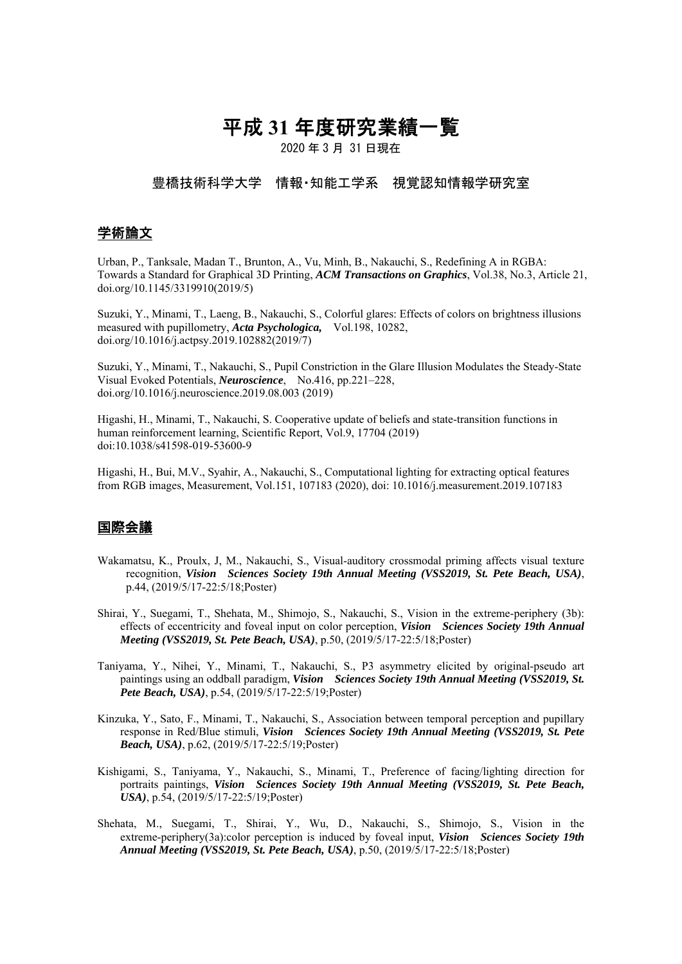# 平成 **31** 年度研究業績一覧

2020 年 3 月 31 日現在

### 豊橋技術科学大学 情報・知能工学系 視覚認知情報学研究室

# 学術論文

Urban, P., Tanksale, Madan T., Brunton, A., Vu, Minh, B., Nakauchi, S., Redefining A in RGBA: Towards a Standard for Graphical 3D Printing, *ACM Transactions on Graphics*, Vol.38, No.3, Article 21, doi.org/10.1145/3319910(2019/5)

Suzuki, Y., Minami, T., Laeng, B., Nakauchi, S., Colorful glares: Effects of colors on brightness illusions measured with pupillometry, *Acta Psychologica,* Vol.198, 10282, doi.org/10.1016/j.actpsy.2019.102882(2019/7)

Suzuki, Y., Minami, T., Nakauchi, S., Pupil Constriction in the Glare Illusion Modulates the Steady-State Visual Evoked Potentials, *Neuroscience*, No.416, pp.221–228, doi.org/10.1016/j.neuroscience.2019.08.003 (2019)

Higashi, H., Minami, T., Nakauchi, S. Cooperative update of beliefs and state-transition functions in human reinforcement learning, Scientific Report, Vol.9, 17704 (2019) doi:10.1038/s41598-019-53600-9

Higashi, H., Bui, M.V., Syahir, A., Nakauchi, S., Computational lighting for extracting optical features from RGB images, Measurement, Vol.151, 107183 (2020), doi: 10.1016/j.measurement.2019.107183

### 国際会議

- Wakamatsu, K., Proulx, J, M., Nakauchi, S., Visual-auditory crossmodal priming affects visual texture recognition, *Vision Sciences Society 19th Annual Meeting (VSS2019, St. Pete Beach, USA)*, p.44, (2019/5/17-22:5/18;Poster)
- Shirai, Y., Suegami, T., Shehata, M., Shimojo, S., Nakauchi, S., Vision in the extreme-periphery (3b): effects of eccentricity and foveal input on color perception, *Vision Sciences Society 19th Annual Meeting (VSS2019, St. Pete Beach, USA)*, p.50, (2019/5/17-22:5/18;Poster)
- Taniyama, Y., Nihei, Y., Minami, T., Nakauchi, S., P3 asymmetry elicited by original-pseudo art paintings using an oddball paradigm, *Vision Sciences Society 19th Annual Meeting (VSS2019, St. Pete Beach, USA)*, p.54, (2019/5/17-22:5/19;Poster)
- Kinzuka, Y., Sato, F., Minami, T., Nakauchi, S., Association between temporal perception and pupillary response in Red/Blue stimuli, *Vision Sciences Society 19th Annual Meeting (VSS2019, St. Pete Beach, USA)*, p.62, (2019/5/17-22:5/19;Poster)
- Kishigami, S., Taniyama, Y., Nakauchi, S., Minami, T., Preference of facing/lighting direction for portraits paintings, *Vision Sciences Society 19th Annual Meeting (VSS2019, St. Pete Beach, USA)*, p.54, (2019/5/17-22:5/19;Poster)
- Shehata, M., Suegami, T., Shirai, Y., Wu, D., Nakauchi, S., Shimojo, S., Vision in the extreme-periphery(3a):color perception is induced by foveal input, *Vision Sciences Society 19th Annual Meeting (VSS2019, St. Pete Beach, USA)*, p.50, (2019/5/17-22:5/18;Poster)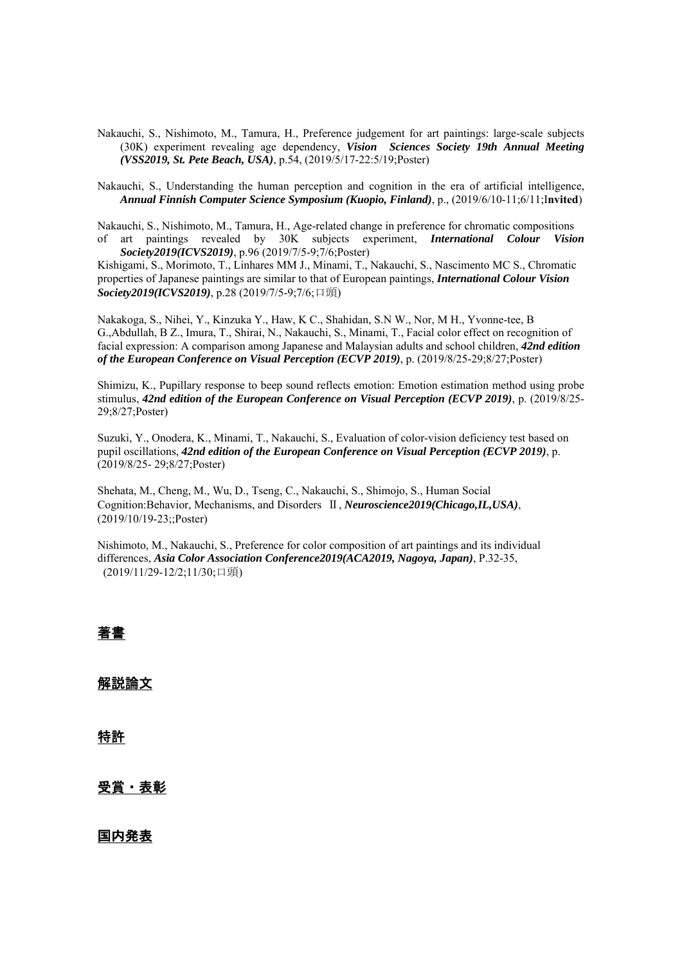Nakauchi, S., Nishimoto, M., Tamura, H., Preference judgement for art paintings: large-scale subjects (30K) experiment revealing age dependency, *Vision Sciences Society 19th Annual Meeting (VSS2019, St. Pete Beach, USA)*, p.54, (2019/5/17-22:5/19;Poster)

Nakauchi, S., Understanding the human perception and cognition in the era of artificial intelligence, *Annual Finnish Computer Science Symposium (Kuopio, Finland)*, p., (2019/6/10-11;6/11;I**nvited**)

Nakauchi, S., Nishimoto, M., Tamura, H., Age-related change in preference for chromatic compositions of art paintings revealed by 30K subjects experiment, *International Colour Vision Society2019(ICVS2019)*, p.96 (2019/7/5-9;7/6;Poster)

Kishigami, S., Morimoto, T., Linhares MM J., Minami, T., Nakauchi, S., Nascimento MC S., Chromatic properties of Japanese paintings are similar to that of European paintings, *International Colour Vision Society2019(ICVS2019)*, p.28 (2019/7/5-9;7/6;口頭)

Nakakoga, S., Nihei, Y., Kinzuka Y., Haw, K C., Shahidan, S.N W., Nor, M H., Yvonne-tee, B G.,Abdullah, B Z., Imura, T., Shirai, N., Nakauchi, S., Minami, T., Facial color effect on recognition of facial expression: A comparison among Japanese and Malaysian adults and school children, *42nd edition of the European Conference on Visual Perception (ECVP 2019)*, p. (2019/8/25-29;8/27;Poster)

Shimizu, K., Pupillary response to beep sound reflects emotion: Emotion estimation method using probe stimulus, *42nd edition of the European Conference on Visual Perception (ECVP 2019)*, p. (2019/8/25- 29;8/27;Poster)

Suzuki, Y., Onodera, K., Minami, T., Nakauchi, S., Evaluation of color-vision deficiency test based on pupil oscillations, *42nd edition of the European Conference on Visual Perception (ECVP 2019)*, p. (2019/8/25- 29;8/27;Poster)

Shehata, M., Cheng, M., Wu, D., Tseng, C., Nakauchi, S., Shimojo, S., Human Social Cognition:Behavior, Mechanisms, and Disorders Ⅱ, *Neuroscience2019(Chicago,IL,USA)*, (2019/10/19-23;;Poster)

Nishimoto, M., Nakauchi, S., Preference for color composition of art paintings and its individual differences, *Asia Color Association Conference2019(ACA2019, Nagoya, Japan)*, P.32-35, (2019/11/29-12/2;11/30;口頭)

# 著書

# 解説論文

特許

## 受賞・表彰

国内発表